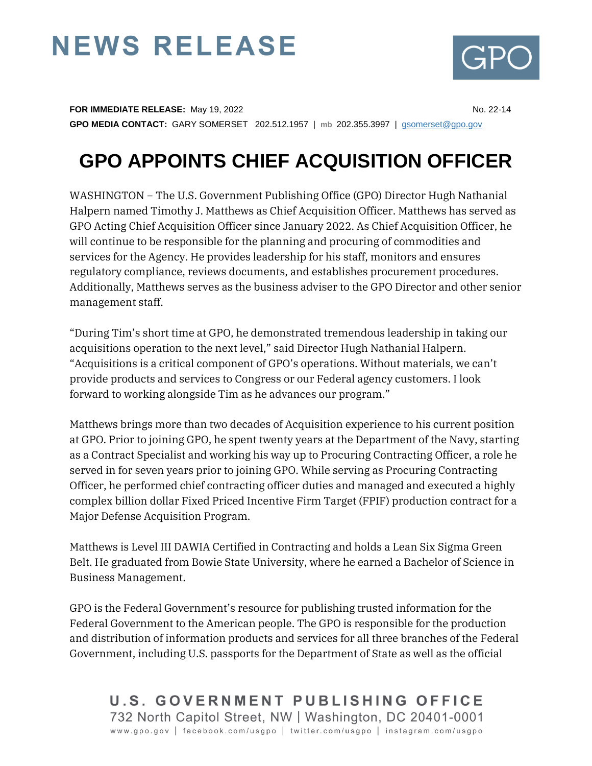## **NEWS RELEASE**



**FOR IMMEDIATE RELEASE:** May 19, 2022 **No. 22-14** No. 22-14 **GPO MEDIA CONTACT:** GARY SOMERSET 202.512.1957 | **mb** 202.355.3997 | [gsomerset@gpo.gov](mailto:gsomerset@gpo.gov) 

## **GPO APPOINTS CHIEF ACQUISITION OFFICER**

WASHINGTON − The U.S. Government Publishing Office (GPO) Director Hugh Nathanial Halpern named Timothy J. Matthews as Chief Acquisition Officer. Matthews has served as GPO Acting Chief Acquisition Officer since January 2022. As Chief Acquisition Officer, he will continue to be responsible for the planning and procuring of commodities and services for the Agency. He provides leadership for his staff, monitors and ensures regulatory compliance, reviews documents, and establishes procurement procedures. Additionally, Matthews serves as the business adviser to the GPO Director and other senior management staff.

"During Tim's short time at GPO, he demonstrated tremendous leadership in taking our acquisitions operation to the next level," said Director Hugh Nathanial Halpern. "Acquisitions is a critical component of GPO's operations. Without materials, we can't provide products and services to Congress or our Federal agency customers. I look forward to working alongside Tim as he advances our program."

Matthews brings more than two decades of Acquisition experience to his current position at GPO. Prior to joining GPO, he spent twenty years at the Department of the Navy, starting as a Contract Specialist and working his way up to Procuring Contracting Officer, a role he served in for seven years prior to joining GPO. While serving as Procuring Contracting Officer, he performed chief contracting officer duties and managed and executed a highly complex billion dollar Fixed Priced Incentive Firm Target (FPIF) production contract for a Major Defense Acquisition Program.

Matthews is Level III DAWIA Certified in Contracting and holds a Lean Six Sigma Green Belt. He graduated from Bowie State University, where he earned a Bachelor of Science in Business Management.

GPO is the Federal Government's resource for publishing trusted information for the Federal Government to the American people. The GPO is responsible for the production and distribution of information products and services for all three branches of the Federal Government, including U.S. passports for the Department of State as well as the official

U.S. GOVERNMENT PUBLISHING OFFICE 732 North Capitol Street, NW | Washington, DC 20401-0001 www.gpo.gov | facebook.com/usgpo | twitter.com/usgpo | instagram.com/usgpo